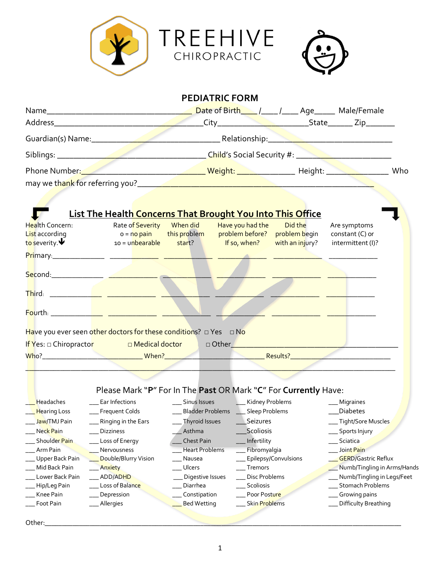

| <b>List The Health Concerns That Brought You Into This Office</b><br><mark>Th</mark> ird: _____________ <mark>____ _______________</mark> __<br><mark>Fo</mark> urth: _____________ <mark>____</mark> ________________ ______<br>Have you ever seen other doctors for these conditions? □ Yes □ No<br>I <mark>f Y</mark> es: □ Chiropracto <mark>r     □ Medical doctor   </mark> □ Other______________________________<br>Please Mark "P" For In The Past OR Mark "C" For Currently Have: |                      | Are symptoms<br>constant (C) or<br>intermittent (I)? |
|--------------------------------------------------------------------------------------------------------------------------------------------------------------------------------------------------------------------------------------------------------------------------------------------------------------------------------------------------------------------------------------------------------------------------------------------------------------------------------------------|----------------------|------------------------------------------------------|
|                                                                                                                                                                                                                                                                                                                                                                                                                                                                                            |                      |                                                      |
|                                                                                                                                                                                                                                                                                                                                                                                                                                                                                            |                      |                                                      |
|                                                                                                                                                                                                                                                                                                                                                                                                                                                                                            |                      |                                                      |
|                                                                                                                                                                                                                                                                                                                                                                                                                                                                                            |                      |                                                      |
|                                                                                                                                                                                                                                                                                                                                                                                                                                                                                            |                      |                                                      |
|                                                                                                                                                                                                                                                                                                                                                                                                                                                                                            |                      |                                                      |
|                                                                                                                                                                                                                                                                                                                                                                                                                                                                                            |                      |                                                      |
|                                                                                                                                                                                                                                                                                                                                                                                                                                                                                            |                      |                                                      |
|                                                                                                                                                                                                                                                                                                                                                                                                                                                                                            |                      |                                                      |
|                                                                                                                                                                                                                                                                                                                                                                                                                                                                                            |                      |                                                      |
|                                                                                                                                                                                                                                                                                                                                                                                                                                                                                            |                      |                                                      |
|                                                                                                                                                                                                                                                                                                                                                                                                                                                                                            |                      |                                                      |
|                                                                                                                                                                                                                                                                                                                                                                                                                                                                                            |                      |                                                      |
|                                                                                                                                                                                                                                                                                                                                                                                                                                                                                            |                      |                                                      |
|                                                                                                                                                                                                                                                                                                                                                                                                                                                                                            |                      |                                                      |
|                                                                                                                                                                                                                                                                                                                                                                                                                                                                                            |                      |                                                      |
|                                                                                                                                                                                                                                                                                                                                                                                                                                                                                            |                      |                                                      |
|                                                                                                                                                                                                                                                                                                                                                                                                                                                                                            |                      |                                                      |
|                                                                                                                                                                                                                                                                                                                                                                                                                                                                                            |                      |                                                      |
|                                                                                                                                                                                                                                                                                                                                                                                                                                                                                            |                      |                                                      |
|                                                                                                                                                                                                                                                                                                                                                                                                                                                                                            |                      |                                                      |
|                                                                                                                                                                                                                                                                                                                                                                                                                                                                                            |                      |                                                      |
|                                                                                                                                                                                                                                                                                                                                                                                                                                                                                            |                      |                                                      |
|                                                                                                                                                                                                                                                                                                                                                                                                                                                                                            |                      |                                                      |
| Headaches                                                                                                                                                                                                                                                                                                                                                                                                                                                                                  |                      |                                                      |
| <b>Hearing Loss</b><br><b>Bladder Problems</b><br><b>Frequent Colds</b>                                                                                                                                                                                                                                                                                                                                                                                                                    | Sleep Problems       | <b>Diabetes</b>                                      |
| Jaw/TMJ Pain<br>Thyroid Issues<br>Ringing in the Ears                                                                                                                                                                                                                                                                                                                                                                                                                                      | Seizures             | Tight/Sore Muscles                                   |
| Neck Pain<br>Asthma<br><b>Dizziness</b>                                                                                                                                                                                                                                                                                                                                                                                                                                                    | Scoliosis            | Sports Injury                                        |
| Shoulder Pain<br>Chest Pain<br>Loss of Energy                                                                                                                                                                                                                                                                                                                                                                                                                                              | Infertility          | Sciatica                                             |
| Arm Pain<br><b>Heart Problems</b><br>Nervousness                                                                                                                                                                                                                                                                                                                                                                                                                                           | Fibromyalgia         | Joint Pain                                           |
| Double/Blurry Vision<br>Upper Back Pain<br>Nausea                                                                                                                                                                                                                                                                                                                                                                                                                                          | Epilepsy/Convulsions | <b>GERD/Gastric Reflux</b>                           |
| Ulcers<br>Mid Back Pain<br>Anxiety                                                                                                                                                                                                                                                                                                                                                                                                                                                         | Tremors              | Numb/Tingling in Arms/Hands                          |
| Lower Back Pain<br>ADD/ADHD<br>Digestive Issues                                                                                                                                                                                                                                                                                                                                                                                                                                            | Disc Problems        | Numb/Tingling in Legs/Feet                           |
| Loss of Balance<br>Diarrhea<br>Hip/Leg Pain                                                                                                                                                                                                                                                                                                                                                                                                                                                | Scoliosis            | Stomach Problems                                     |
| Depression<br>Constipation<br>Knee Pain                                                                                                                                                                                                                                                                                                                                                                                                                                                    | Poor Posture         | Growing pains                                        |
| Foot Pain<br>Allergies<br><b>Bed Wetting</b>                                                                                                                                                                                                                                                                                                                                                                                                                                               | Skin Problems        | Difficulty Breathing                                 |
|                                                                                                                                                                                                                                                                                                                                                                                                                                                                                            |                      |                                                      |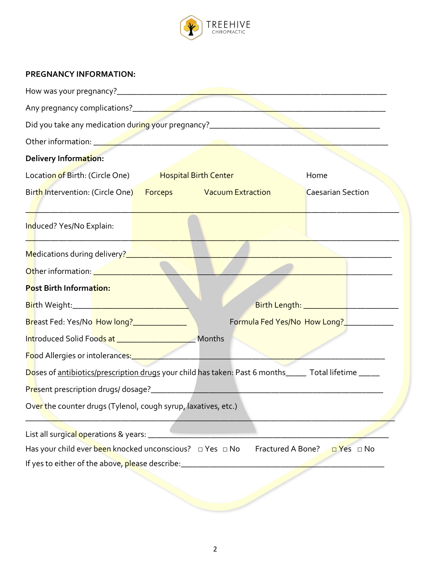

## **PREGNANCY INFORMATION:**

| Other information: <u>Andrean American property</u>                                                                   |                                                                                 |  |                                          |                          |           |
|-----------------------------------------------------------------------------------------------------------------------|---------------------------------------------------------------------------------|--|------------------------------------------|--------------------------|-----------|
| Delivery Information:                                                                                                 |                                                                                 |  |                                          |                          |           |
| Location of Birth: (Circle One) Hospital Birth Center                                                                 |                                                                                 |  |                                          | Home                     |           |
|                                                                                                                       |                                                                                 |  |                                          | <b>Caesarian Section</b> |           |
| Induced? Yes/No Explain:                                                                                              | the contract of the contract of the contract of the contract of the contract of |  |                                          |                          |           |
|                                                                                                                       |                                                                                 |  |                                          |                          |           |
| Other information: <u>Andrean American Contractor</u>                                                                 |                                                                                 |  |                                          |                          |           |
| Post Birth Information:                                                                                               |                                                                                 |  |                                          |                          |           |
| <mark>Bir</mark> th Weight:__________________________________                                                         |                                                                                 |  |                                          |                          |           |
|                                                                                                                       |                                                                                 |  | Formula Fed Yes/No How Long?____________ |                          |           |
|                                                                                                                       |                                                                                 |  |                                          |                          |           |
| Food Allergies or intolerances: <u>Allergies of the set of the set of the set of the set of the set of the set of</u> |                                                                                 |  |                                          |                          |           |
| Doses of antibiotics/prescription drugs your child has taken: Past 6 months _____ Total lifetime _____                |                                                                                 |  |                                          |                          |           |
|                                                                                                                       |                                                                                 |  |                                          |                          |           |
| Over the counter drugs (Tylenol, cough syrup, laxatives, etc.)                                                        |                                                                                 |  |                                          |                          |           |
|                                                                                                                       |                                                                                 |  |                                          |                          |           |
| List all surgical operations & years: ___                                                                             |                                                                                 |  |                                          |                          |           |
| Has your child ever been knocked unconscious? $\Box$ Yes $\Box$ No                                                    |                                                                                 |  | Fractured A Bone?                        |                          | DYes □ No |
| If yes to either of the above, please describe:                                                                       |                                                                                 |  |                                          |                          |           |
|                                                                                                                       |                                                                                 |  |                                          |                          |           |